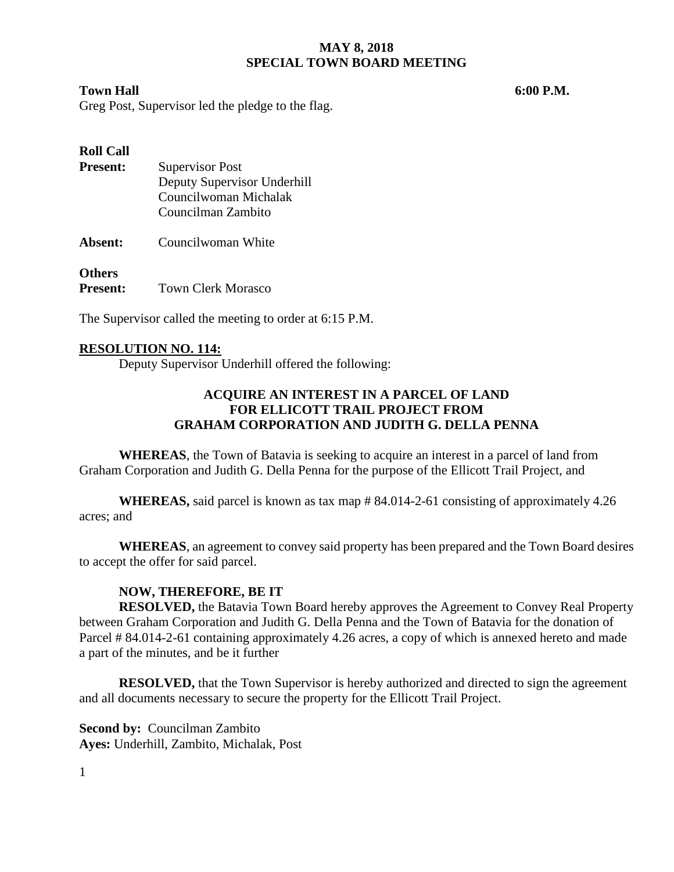#### **MAY 8, 2018 SPECIAL TOWN BOARD MEETING**

#### **Town Hall 6:00 P.M.**

Greg Post, Supervisor led the pledge to the flag.

## **Roll Call**

| <b>Present:</b> | <b>Supervisor Post</b>      |
|-----------------|-----------------------------|
|                 | Deputy Supervisor Underhill |
|                 | Councilwoman Michalak       |
|                 | Councilman Zambito          |
|                 |                             |

**Absent:** Councilwoman White

#### **Others**

**Present:** Town Clerk Morasco

The Supervisor called the meeting to order at 6:15 P.M.

#### **RESOLUTION NO. 114:**

Deputy Supervisor Underhill offered the following:

#### **ACQUIRE AN INTEREST IN A PARCEL OF LAND FOR ELLICOTT TRAIL PROJECT FROM GRAHAM CORPORATION AND JUDITH G. DELLA PENNA**

**WHEREAS**, the Town of Batavia is seeking to acquire an interest in a parcel of land from Graham Corporation and Judith G. Della Penna for the purpose of the Ellicott Trail Project, and

**WHEREAS,** said parcel is known as tax map # 84.014-2-61 consisting of approximately 4.26 acres; and

**WHEREAS**, an agreement to convey said property has been prepared and the Town Board desires to accept the offer for said parcel.

#### **NOW, THEREFORE, BE IT**

**RESOLVED,** the Batavia Town Board hereby approves the Agreement to Convey Real Property between Graham Corporation and Judith G. Della Penna and the Town of Batavia for the donation of Parcel # 84.014-2-61 containing approximately 4.26 acres, a copy of which is annexed hereto and made a part of the minutes, and be it further

**RESOLVED,** that the Town Supervisor is hereby authorized and directed to sign the agreement and all documents necessary to secure the property for the Ellicott Trail Project.

**Second by: Councilman Zambito Ayes:** Underhill, Zambito, Michalak, Post